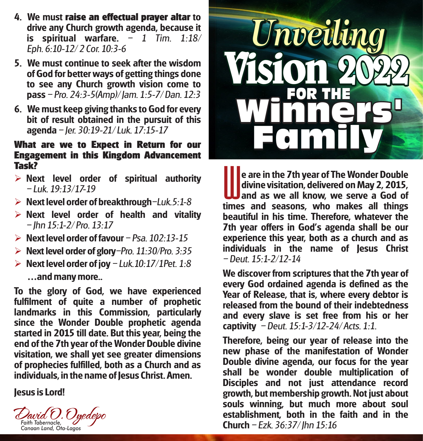- **4. We must raise an effectual prayer altar to drive any Church growth agenda, because it is** spiritual warfare.  $-1$  Tim.  $1:18/$ Eph. 6:10-12/ 2 Cor. 10:3-6
- **5. We must continue to seek after the wisdom of God for better ways of getting things done to see any Church growth vision come to pass**  Pro. 24:3-5(Amp)/ Jam. 1:5-7/ Dan. 12:3
- **6. We must keep giving thanks to God for every bit of result obtained in the pursuit of this agenda**  Jer. 30:19-21/ Luk. 17:15-17

## **What are we to Expect in Return for our Engagement in this Kingdom Advancement Task?**

- Ø **Next level order of spiritual authority**   $-$  Luk. 19 $-13/17-19$
- Ø **Next level order of breakthrough**Luk.5:1-8
- Ø **Next level order of health and vitality**   $-$  lhn 15:1-2/ Pro. 13:17
- $\triangleright$  **Next level order of favour**  $-$  Psa 102:13-15
- $\triangleright$  **Next level order of glory**-Pro. 11:30/Pro. 3:35
- Ø **Next level order of joy**  Luk.10:17/1Pet. 1:8  **and many more..**

**To the glory of God, we have experienced fulfilment of quite a number of prophetic landmarks in this Commission, particularly since the Wonder Double prophetic agenda started in 2015 till date. But this year, being the end of the 7th year of the Wonder Double divine visitation, we shall yet see greater dimensions of prophecies fulfilled, both as a Church and as individuals, in the name of Jesus Christ. Amen.**

**Jesus is Lord!**





**e are in the 7th year of The Wonder Double divine visitation, delivered on May 2, 2015, and as we all know, we serve a God of times and seasons, who makes all things beautiful in his time. Therefore, whatever the 7th year offers in God's agenda shall be our experience this year, both as a church and as individuals in the name of Jesus Christ**   $-D$ eut. 15:1-2/12-14

**We discover from scriptures that the 7th year of every God ordained agenda is defined as the Year of Release, that is, where every debtor is released from the bound of their indebtedness and every slave is set free from his or her captivity**  $-D$ eut.  $15:1-3/12-24/A$ cts.  $1:1$ .

**Therefore, being our year of release into the new phase of the manifestation of Wonder Double divine agenda, our focus for the year shall be wonder double multiplication of Disciples and not just attendance record growth, but membership growth. Not just about souls winning, but much more about soul establishment, both in the faith and in the Church** - Ezk. 36:37/ Jhn 15:16